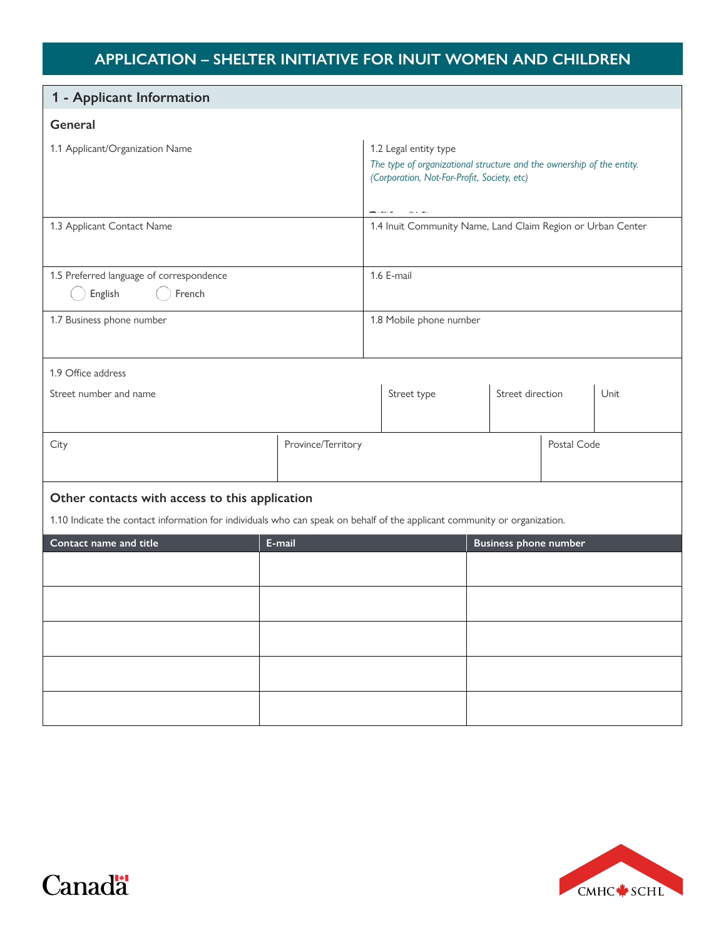# **APPLICATION – SHELTER INITIATIVE FOR INUIT WOMEN AND CHILDREN**

| 1 - Applicant Information                                                                                                 |                    |                                                                                                                                               |             |  |                              |             |      |
|---------------------------------------------------------------------------------------------------------------------------|--------------------|-----------------------------------------------------------------------------------------------------------------------------------------------|-------------|--|------------------------------|-------------|------|
| General                                                                                                                   |                    |                                                                                                                                               |             |  |                              |             |      |
| 1.1 Applicant/Organization Name                                                                                           |                    | 1.2 Legal entity type<br>The type of organizational structure and the ownership of the entity.<br>(Corporation, Not-For-Profit, Society, etc) |             |  |                              |             |      |
| 1.3 Applicant Contact Name                                                                                                |                    | 1.4 Inuit Community Name, Land Claim Region or Urban Center                                                                                   |             |  |                              |             |      |
| 1.5 Preferred language of correspondence<br>English<br>French                                                             |                    | 1.6 E-mail                                                                                                                                    |             |  |                              |             |      |
| 1.7 Business phone number                                                                                                 |                    | 1.8 Mobile phone number                                                                                                                       |             |  |                              |             |      |
| 1.9 Office address                                                                                                        |                    |                                                                                                                                               |             |  |                              |             |      |
| Street number and name                                                                                                    |                    |                                                                                                                                               | Street type |  | Street direction             |             | Unit |
| City                                                                                                                      | Province/Territory |                                                                                                                                               |             |  |                              | Postal Code |      |
| Other contacts with access to this application                                                                            |                    |                                                                                                                                               |             |  |                              |             |      |
| 1.10 Indicate the contact information for individuals who can speak on behalf of the applicant community or organization. |                    |                                                                                                                                               |             |  |                              |             |      |
| Contact name and title                                                                                                    | E-mail             |                                                                                                                                               |             |  | <b>Business phone number</b> |             |      |
|                                                                                                                           |                    |                                                                                                                                               |             |  |                              |             |      |
|                                                                                                                           |                    |                                                                                                                                               |             |  |                              |             |      |
|                                                                                                                           |                    |                                                                                                                                               |             |  |                              |             |      |
|                                                                                                                           |                    |                                                                                                                                               |             |  |                              |             |      |
|                                                                                                                           |                    |                                                                                                                                               |             |  |                              |             |      |



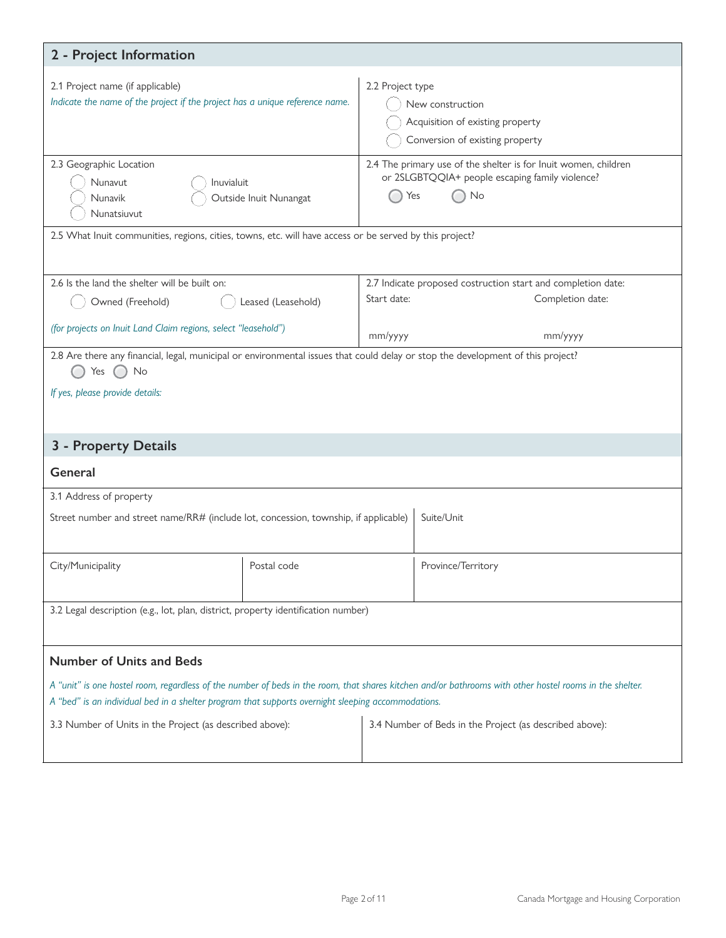| 2 - Project Information                                                                                                                                                                                                                                                                                                                            |                    |                                                                                                             |                    |  |  |
|----------------------------------------------------------------------------------------------------------------------------------------------------------------------------------------------------------------------------------------------------------------------------------------------------------------------------------------------------|--------------------|-------------------------------------------------------------------------------------------------------------|--------------------|--|--|
| 2.1 Project name (if applicable)<br>Indicate the name of the project if the project has a unique reference name.                                                                                                                                                                                                                                   |                    | 2.2 Project type<br>New construction<br>Acquisition of existing property<br>Conversion of existing property |                    |  |  |
| 2.3 Geographic Location<br>2.4 The primary use of the shelter is for lnuit women, children<br>or 2SLGBTQQIA+ people escaping family violence?<br>Nunavut<br>Inuvialuit<br>No<br>Yes<br>Outside Inuit Nunangat<br>Nunavik<br>Nunatsiuvut<br>2.5 What Inuit communities, regions, cities, towns, etc. will have access or be served by this project? |                    |                                                                                                             |                    |  |  |
| 2.6 Is the land the shelter will be built on:                                                                                                                                                                                                                                                                                                      |                    | 2.7 Indicate proposed costruction start and completion date:                                                |                    |  |  |
| Owned (Freehold)                                                                                                                                                                                                                                                                                                                                   | Leased (Leasehold) | Start date:                                                                                                 | Completion date:   |  |  |
| (for projects on Inuit Land Claim regions, select "leasehold")                                                                                                                                                                                                                                                                                     |                    | mm/yyyy<br>mm/yyyy                                                                                          |                    |  |  |
| 2.8 Are there any financial, legal, municipal or environmental issues that could delay or stop the development of this project?<br>No<br>Yes<br>If yes, please provide details:                                                                                                                                                                    |                    |                                                                                                             |                    |  |  |
|                                                                                                                                                                                                                                                                                                                                                    |                    |                                                                                                             |                    |  |  |
| 3 - Property Details                                                                                                                                                                                                                                                                                                                               |                    |                                                                                                             |                    |  |  |
| General                                                                                                                                                                                                                                                                                                                                            |                    |                                                                                                             |                    |  |  |
| 3.1 Address of property                                                                                                                                                                                                                                                                                                                            |                    |                                                                                                             |                    |  |  |
| Suite/Unit<br>Street number and street name/RR# (include lot, concession, township, if applicable)                                                                                                                                                                                                                                                 |                    |                                                                                                             |                    |  |  |
| City/Municipality                                                                                                                                                                                                                                                                                                                                  | Postal code        |                                                                                                             | Province/Territory |  |  |
| 3.2 Legal description (e.g., lot, plan, district, property identification number)                                                                                                                                                                                                                                                                  |                    |                                                                                                             |                    |  |  |
| <b>Number of Units and Beds</b>                                                                                                                                                                                                                                                                                                                    |                    |                                                                                                             |                    |  |  |
| A "unit" is one hostel room, regardless of the number of beds in the room, that shares kitchen and/or bathrooms with other hostel rooms in the shelter.<br>A "bed" is an individual bed in a shelter program that supports overnight sleeping accommodations.                                                                                      |                    |                                                                                                             |                    |  |  |
|                                                                                                                                                                                                                                                                                                                                                    |                    |                                                                                                             |                    |  |  |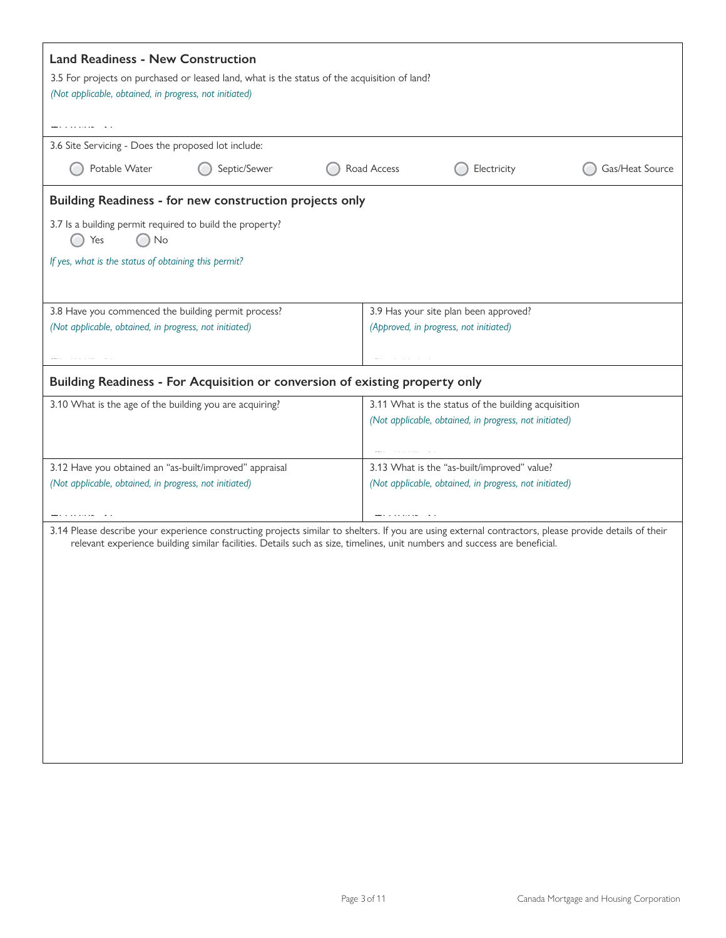| <b>Land Readiness - New Construction</b><br>3.5 For projects on purchased or leased land, what is the status of the acquisition of land?<br>(Not applicable, obtained, in progress, not initiated)                                                                                   |                                                                                                                  |                                                        |                 |  |  |
|--------------------------------------------------------------------------------------------------------------------------------------------------------------------------------------------------------------------------------------------------------------------------------------|------------------------------------------------------------------------------------------------------------------|--------------------------------------------------------|-----------------|--|--|
|                                                                                                                                                                                                                                                                                      |                                                                                                                  |                                                        |                 |  |  |
| 3.6 Site Servicing - Does the proposed lot include:                                                                                                                                                                                                                                  |                                                                                                                  |                                                        |                 |  |  |
| Potable Water<br>Septic/Sewer                                                                                                                                                                                                                                                        | Road Access                                                                                                      | Electricity                                            | Gas/Heat Source |  |  |
| Building Readiness - for new construction projects only                                                                                                                                                                                                                              |                                                                                                                  |                                                        |                 |  |  |
| 3.7 Is a building permit required to build the property?<br>Yes<br>No                                                                                                                                                                                                                |                                                                                                                  |                                                        |                 |  |  |
| If yes, what is the status of obtaining this permit?                                                                                                                                                                                                                                 |                                                                                                                  |                                                        |                 |  |  |
|                                                                                                                                                                                                                                                                                      |                                                                                                                  |                                                        |                 |  |  |
| 3.8 Have you commenced the building permit process?                                                                                                                                                                                                                                  |                                                                                                                  | 3.9 Has your site plan been approved?                  |                 |  |  |
| (Not applicable, obtained, in progress, not initiated)                                                                                                                                                                                                                               | (Approved, in progress, not initiated)                                                                           |                                                        |                 |  |  |
|                                                                                                                                                                                                                                                                                      |                                                                                                                  |                                                        |                 |  |  |
| Building Readiness - For Acquisition or conversion of existing property only                                                                                                                                                                                                         |                                                                                                                  |                                                        |                 |  |  |
| 3.10 What is the age of the building you are acquiring?                                                                                                                                                                                                                              |                                                                                                                  | 3.11 What is the status of the building acquisition    |                 |  |  |
|                                                                                                                                                                                                                                                                                      |                                                                                                                  | (Not applicable, obtained, in progress, not initiated) |                 |  |  |
|                                                                                                                                                                                                                                                                                      |                                                                                                                  |                                                        |                 |  |  |
| 3.12 Have you obtained an "as-built/improved" appraisal                                                                                                                                                                                                                              |                                                                                                                  | 3.13 What is the "as-built/improved" value?            |                 |  |  |
|                                                                                                                                                                                                                                                                                      | (Not applicable, obtained, in progress, not initiated)<br>(Not applicable, obtained, in progress, not initiated) |                                                        |                 |  |  |
|                                                                                                                                                                                                                                                                                      |                                                                                                                  |                                                        |                 |  |  |
| 3.14 Please describe your experience constructing projects similar to shelters. If you are using external contractors, please provide details of their<br>relevant experience building similar facilities. Details such as size, timelines, unit numbers and success are beneficial. |                                                                                                                  |                                                        |                 |  |  |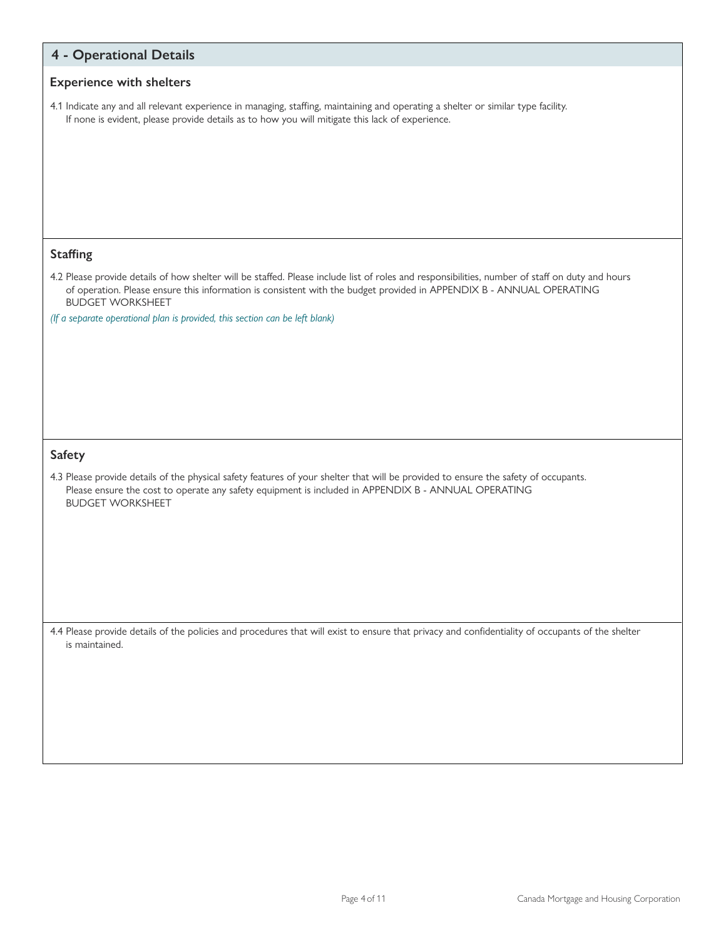| <b>4 - Operational Details</b>                                                                                                                                                                                                                                                                                                                                                     |
|------------------------------------------------------------------------------------------------------------------------------------------------------------------------------------------------------------------------------------------------------------------------------------------------------------------------------------------------------------------------------------|
| <b>Experience with shelters</b>                                                                                                                                                                                                                                                                                                                                                    |
| 4.1 Indicate any and all relevant experience in managing, staffing, maintaining and operating a shelter or similar type facility.<br>If none is evident, please provide details as to how you will mitigate this lack of experience.                                                                                                                                               |
| <b>Staffing</b>                                                                                                                                                                                                                                                                                                                                                                    |
| 4.2 Please provide details of how shelter will be staffed. Please include list of roles and responsibilities, number of staff on duty and hours<br>of operation. Please ensure this information is consistent with the budget provided in APPENDIX B - ANNUAL OPERATING<br><b>BUDGET WORKSHEET</b><br>(If a separate operational plan is provided, this section can be left blank) |
| <b>Safety</b>                                                                                                                                                                                                                                                                                                                                                                      |
| 4.3 Please provide details of the physical safety features of your shelter that will be provided to ensure the safety of occupants.<br>Please ensure the cost to operate any safety equipment is included in APPENDIX B - ANNUAL OPERATING<br><b>BUDGET WORKSHEET</b>                                                                                                              |
| 4.4 Please provide details of the policies and procedures that will exist to ensure that privacy and confidentiality of occupants of the shelter<br>is maintained.                                                                                                                                                                                                                 |
|                                                                                                                                                                                                                                                                                                                                                                                    |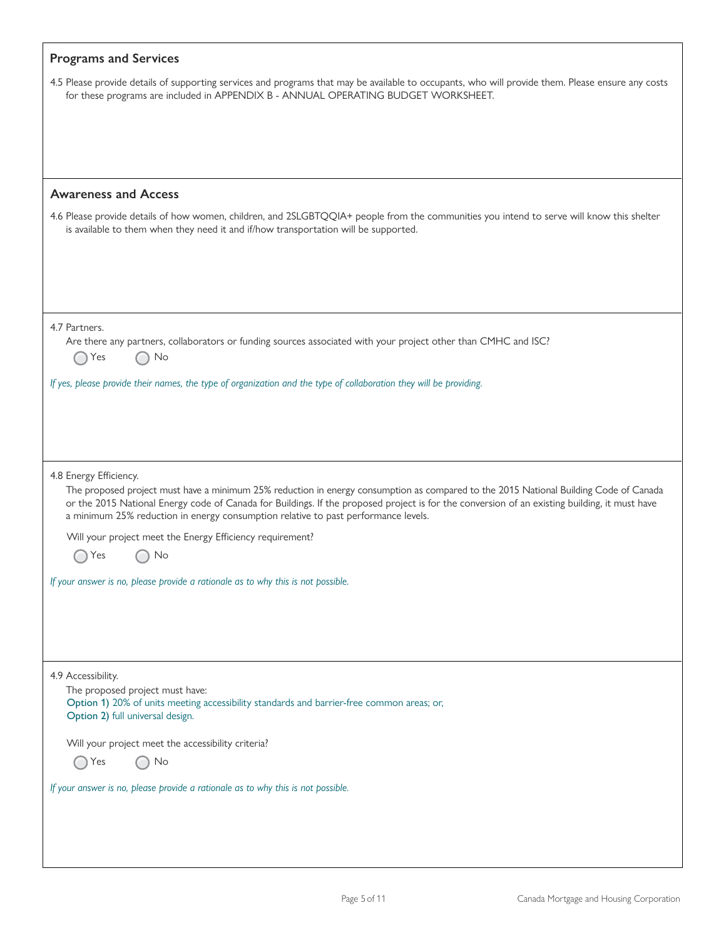| <b>Programs and Services</b>                                                                                                                                                                                                                                                                                                                                                                           |
|--------------------------------------------------------------------------------------------------------------------------------------------------------------------------------------------------------------------------------------------------------------------------------------------------------------------------------------------------------------------------------------------------------|
| 4.5 Please provide details of supporting services and programs that may be available to occupants, who will provide them. Please ensure any costs<br>for these programs are included in APPENDIX B - ANNUAL OPERATING BUDGET WORKSHEET.                                                                                                                                                                |
|                                                                                                                                                                                                                                                                                                                                                                                                        |
|                                                                                                                                                                                                                                                                                                                                                                                                        |
|                                                                                                                                                                                                                                                                                                                                                                                                        |
| <b>Awareness and Access</b><br>4.6 Please provide details of how women, children, and 2SLGBTQQIA+ people from the communities you intend to serve will know this shelter                                                                                                                                                                                                                               |
| is available to them when they need it and if/how transportation will be supported.                                                                                                                                                                                                                                                                                                                    |
|                                                                                                                                                                                                                                                                                                                                                                                                        |
| 4.7 Partners.                                                                                                                                                                                                                                                                                                                                                                                          |
| Are there any partners, collaborators or funding sources associated with your project other than CMHC and ISC?<br>Yes<br>No                                                                                                                                                                                                                                                                            |
| If yes, please provide their names, the type of organization and the type of collaboration they will be providing.                                                                                                                                                                                                                                                                                     |
|                                                                                                                                                                                                                                                                                                                                                                                                        |
|                                                                                                                                                                                                                                                                                                                                                                                                        |
| 4.8 Energy Efficiency.<br>The proposed project must have a minimum 25% reduction in energy consumption as compared to the 2015 National Building Code of Canada<br>or the 2015 National Energy code of Canada for Buildings. If the proposed project is for the conversion of an existing building, it must have<br>a minimum 25% reduction in energy consumption relative to past performance levels. |
| Will your project meet the Energy Efficiency requirement?                                                                                                                                                                                                                                                                                                                                              |
| No<br>Yes                                                                                                                                                                                                                                                                                                                                                                                              |
| If your answer is no, please provide a rationale as to why this is not possible.                                                                                                                                                                                                                                                                                                                       |
|                                                                                                                                                                                                                                                                                                                                                                                                        |
| 4.9 Accessibility.                                                                                                                                                                                                                                                                                                                                                                                     |
| The proposed project must have:                                                                                                                                                                                                                                                                                                                                                                        |
| Option 1) 20% of units meeting accessibility standards and barrier-free common areas; or,<br>Option 2) full universal design.                                                                                                                                                                                                                                                                          |
| Will your project meet the accessibility criteria?                                                                                                                                                                                                                                                                                                                                                     |
| Yes<br>No                                                                                                                                                                                                                                                                                                                                                                                              |
| If your answer is no, please provide a rationale as to why this is not possible.                                                                                                                                                                                                                                                                                                                       |
|                                                                                                                                                                                                                                                                                                                                                                                                        |
|                                                                                                                                                                                                                                                                                                                                                                                                        |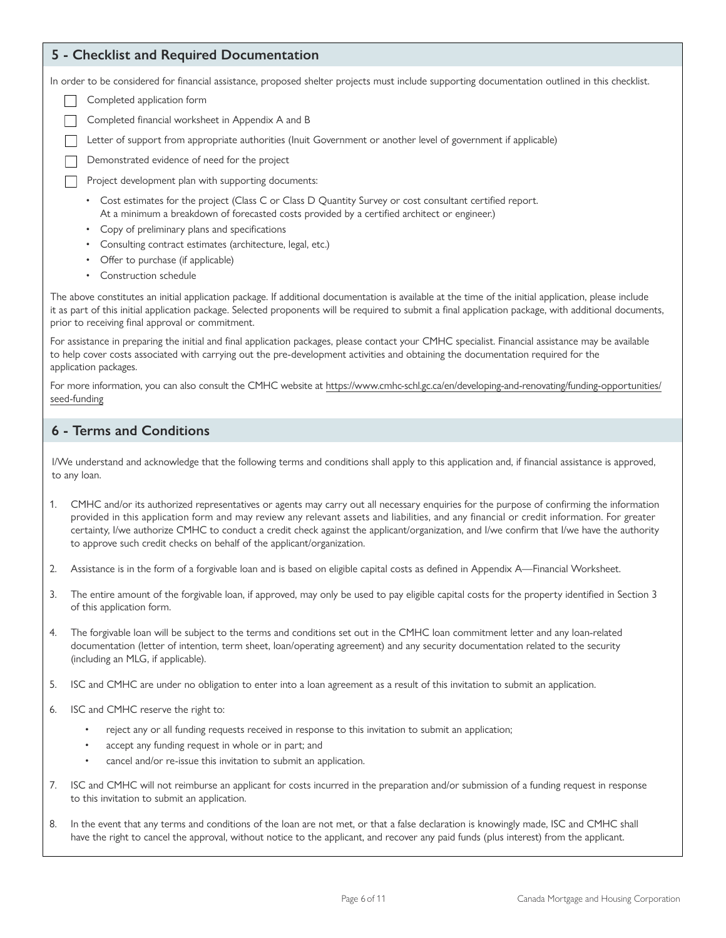### **5 - Checklist and Required Documentation**

In order to be considered for financial assistance, proposed shelter projects must include supporting documentation outlined in this checklist.

- Completed application form
- Completed financial worksheet in Appendix A and B
- Letter of support from appropriate authorities (Inuit Government or another level of government if applicable)

Demonstrated evidence of need for the project

Project development plan with supporting documents:

- Cost estimates for the project (Class C or Class D Quantity Survey or cost consultant certified report. At a minimum a breakdown of forecasted costs provided by a certified architect or engineer.)
- Copy of preliminary plans and specifications
- Consulting contract estimates (architecture, legal, etc.)
- Offer to purchase (if applicable)
- Construction schedule

The above constitutes an initial application package. If additional documentation is available at the time of the initial application, please include it as part of this initial application package. Selected proponents will be required to submit a final application package, with additional documents, prior to receiving final approval or commitment.

For assistance in preparing the initial and final application packages, please contact your CMHC specialist. Financial assistance may be available to help cover costs associated with carrying out the pre-development activities and obtaining the documentation required for the application packages.

For more information, you can also consult the CMHC website at [https://www.cmhc-schl.gc.ca/en/developing-and-renovating/funding-opportunities/](https://www.cmhc-schl.gc.ca/en/developing-and-renovating/funding-opportunities/seed-funding) [seed-funding](https://www.cmhc-schl.gc.ca/en/developing-and-renovating/funding-opportunities/seed-funding)

## **6 - Terms and Conditions**

I/We understand and acknowledge that the following terms and conditions shall apply to this application and, if financial assistance is approved, to any loan.

- 1. CMHC and/or its authorized representatives or agents may carry out all necessary enquiries for the purpose of confirming the information provided in this application form and may review any relevant assets and liabilities, and any financial or credit information. For greater certainty, I/we authorize CMHC to conduct a credit check against the applicant/organization, and I/we confirm that I/we have the authority to approve such credit checks on behalf of the applicant/organization.
- 2. Assistance is in the form of a forgivable loan and is based on eligible capital costs as defined in Appendix A—Financial Worksheet.
- 3. The entire amount of the forgivable loan, if approved, may only be used to pay eligible capital costs for the property identified in Section 3 of this application form.
- 4. The forgivable loan will be subject to the terms and conditions set out in the CMHC loan commitment letter and any loan-related documentation (letter of intention, term sheet, loan/operating agreement) and any security documentation related to the security (including an MLG, if applicable).
- 5. ISC and CMHC are under no obligation to enter into a loan agreement as a result of this invitation to submit an application.
- 6. ISC and CMHC reserve the right to:
	- reject any or all funding requests received in response to this invitation to submit an application;
	- accept any funding request in whole or in part; and
	- cancel and/or re-issue this invitation to submit an application.
- 7. ISC and CMHC will not reimburse an applicant for costs incurred in the preparation and/or submission of a funding request in response to this invitation to submit an application.
- 8. In the event that any terms and conditions of the loan are not met, or that a false declaration is knowingly made, ISC and CMHC shall have the right to cancel the approval, without notice to the applicant, and recover any paid funds (plus interest) from the applicant.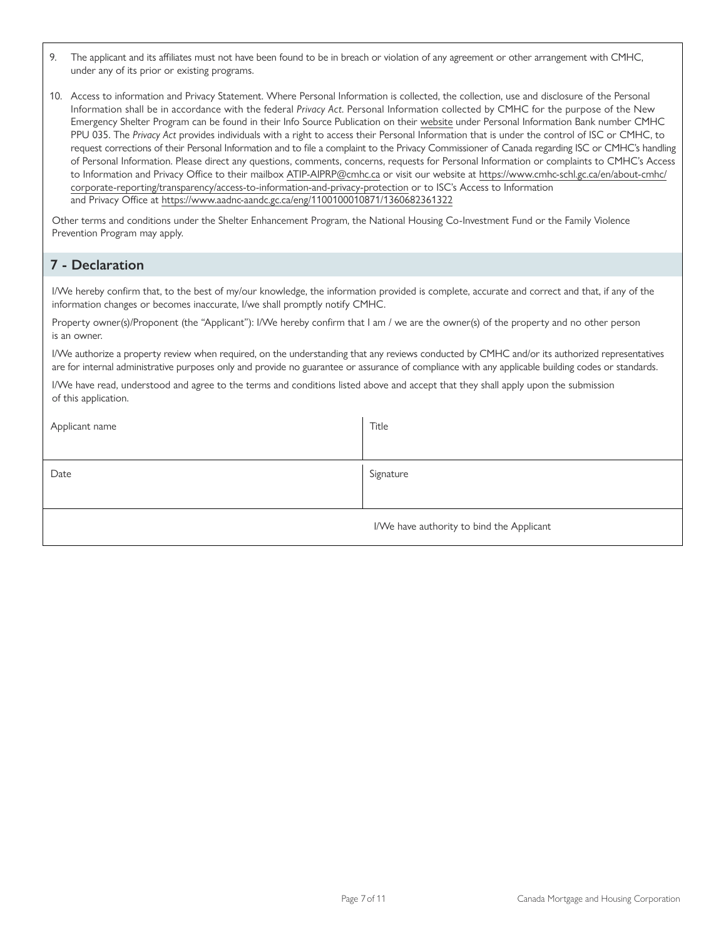- 9. The applicant and its affiliates must not have been found to be in breach or violation of any agreement or other arrangement with CMHC, under any of its prior or existing programs.
- 10. Access to information and Privacy Statement. Where Personal Information is collected, the collection, use and disclosure of the Personal Information shall be in accordance with the federal *Privacy Act*. Personal Information collected by CMHC for the purpose of the New Emergency Shelter Program can be found in their Info Source Publication on their [website](https://www.cmhc-schl.gc.ca/en/about-cmhc/corporate-reporting/transparency/access-to-information-and-privacy-protection) under Personal Information Bank number CMHC PPU 035. The *Privacy Act* provides individuals with a right to access their Personal Information that is under the control of ISC or CMHC, to request corrections of their Personal Information and to file a complaint to the Privacy Commissioner of Canada regarding ISC or CMHC's handling of Personal Information. Please direct any questions, comments, concerns, requests for Personal Information or complaints to CMHC's Access to Information and Privacy Office to their mailbox [ATIP-AIPRP@cmhc.ca](mailto:ATIP-AIPRP@cmhc.ca) or visit our website at [https://www.cmhc-schl.gc.ca/en/about-cmhc/](https://www.cmhc-schl.gc.ca/en/about-cmhc/corporate-reporting/transparency/access-to-information-and-privacy-protection) [corporate-reporting/transparency/access-to-information-and-privacy-protection](https://www.cmhc-schl.gc.ca/en/about-cmhc/corporate-reporting/transparency/access-to-information-and-privacy-protection) or to ISC's Access to Information and Privacy Office at<https://www.aadnc-aandc.gc.ca/eng/1100100010871/1360682361322>

Other terms and conditions under the Shelter Enhancement Program, the National Housing Co-Investment Fund or the Family Violence Prevention Program may apply.

## **7 - Declaration**

I/We hereby confirm that, to the best of my/our knowledge, the information provided is complete, accurate and correct and that, if any of the information changes or becomes inaccurate, I/we shall promptly notify CMHC.

Property owner(s)/Proponent (the "Applicant"): I/We hereby confirm that I am / we are the owner(s) of the property and no other person is an owner.

I/We authorize a property review when required, on the understanding that any reviews conducted by CMHC and/or its authorized representatives are for internal administrative purposes only and provide no guarantee or assurance of compliance with any applicable building codes or standards.

I/We have read, understood and agree to the terms and conditions listed above and accept that they shall apply upon the submission of this application.

| Applicant name | Title                                     |
|----------------|-------------------------------------------|
|                |                                           |
| Date           | Signature                                 |
|                |                                           |
|                | I/We have authority to bind the Applicant |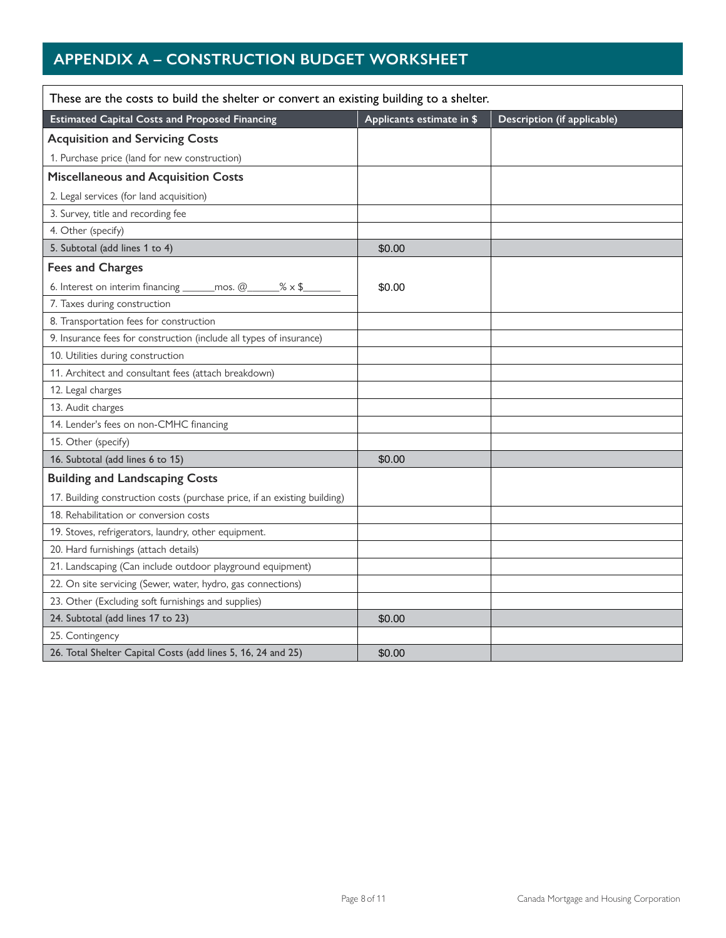# **APPENDIX A – CONSTRUCTION BUDGET WORKSHEET**

| These are the costs to build the shelter or convert an existing building to a shelter. |                           |                             |  |  |  |
|----------------------------------------------------------------------------------------|---------------------------|-----------------------------|--|--|--|
| <b>Estimated Capital Costs and Proposed Financing</b>                                  | Applicants estimate in \$ | Description (if applicable) |  |  |  |
| <b>Acquisition and Servicing Costs</b>                                                 |                           |                             |  |  |  |
| 1. Purchase price (land for new construction)                                          |                           |                             |  |  |  |
| <b>Miscellaneous and Acquisition Costs</b>                                             |                           |                             |  |  |  |
| 2. Legal services (for land acquisition)                                               |                           |                             |  |  |  |
| 3. Survey, title and recording fee                                                     |                           |                             |  |  |  |
| 4. Other (specify)                                                                     |                           |                             |  |  |  |
| 5. Subtotal (add lines 1 to 4)                                                         | \$0.00                    |                             |  |  |  |
| <b>Fees and Charges</b>                                                                |                           |                             |  |  |  |
| 6. Interest on interim financing ______ mos. @___<br>$% \times $$                      | \$0.00                    |                             |  |  |  |
| 7. Taxes during construction                                                           |                           |                             |  |  |  |
| 8. Transportation fees for construction                                                |                           |                             |  |  |  |
| 9. Insurance fees for construction (include all types of insurance)                    |                           |                             |  |  |  |
| 10. Utilities during construction                                                      |                           |                             |  |  |  |
| 11. Architect and consultant fees (attach breakdown)                                   |                           |                             |  |  |  |
| 12. Legal charges                                                                      |                           |                             |  |  |  |
| 13. Audit charges                                                                      |                           |                             |  |  |  |
| 14. Lender's fees on non-CMHC financing                                                |                           |                             |  |  |  |
| 15. Other (specify)                                                                    |                           |                             |  |  |  |
| 16. Subtotal (add lines 6 to 15)                                                       | \$0.00                    |                             |  |  |  |
| <b>Building and Landscaping Costs</b>                                                  |                           |                             |  |  |  |
| 17. Building construction costs (purchase price, if an existing building)              |                           |                             |  |  |  |
| 18. Rehabilitation or conversion costs                                                 |                           |                             |  |  |  |
| 19. Stoves, refrigerators, laundry, other equipment.                                   |                           |                             |  |  |  |
| 20. Hard furnishings (attach details)                                                  |                           |                             |  |  |  |
| 21. Landscaping (Can include outdoor playground equipment)                             |                           |                             |  |  |  |
| 22. On site servicing (Sewer, water, hydro, gas connections)                           |                           |                             |  |  |  |
| 23. Other (Excluding soft furnishings and supplies)                                    |                           |                             |  |  |  |
| 24. Subtotal (add lines 17 to 23)                                                      | \$0.00                    |                             |  |  |  |
| 25. Contingency                                                                        |                           |                             |  |  |  |
| 26. Total Shelter Capital Costs (add lines 5, 16, 24 and 25)                           | \$0.00                    |                             |  |  |  |

⅂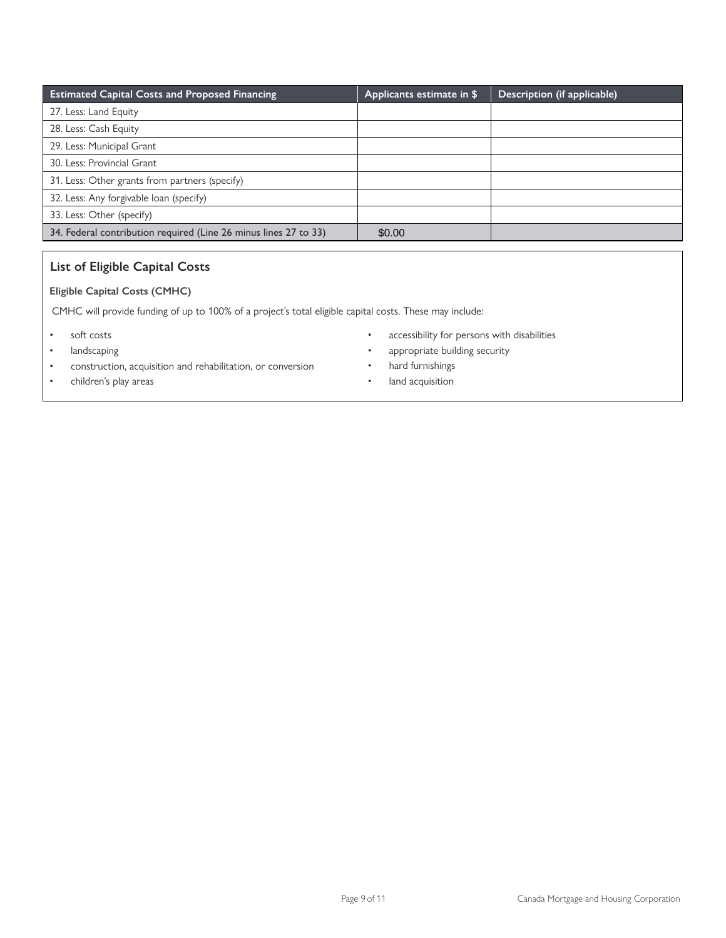| <b>Estimated Capital Costs and Proposed Financing</b>            | Applicants estimate in \$ | Description (if applicable) |
|------------------------------------------------------------------|---------------------------|-----------------------------|
| 27. Less: Land Equity                                            |                           |                             |
| 28. Less: Cash Equity                                            |                           |                             |
| 29. Less: Municipal Grant                                        |                           |                             |
| 30. Less: Provincial Grant                                       |                           |                             |
| 31. Less: Other grants from partners (specify)                   |                           |                             |
| 32. Less: Any forgivable loan (specify)                          |                           |                             |
| 33. Less: Other (specify)                                        |                           |                             |
| 34. Federal contribution required (Line 26 minus lines 27 to 33) | \$0.00                    |                             |

## **List of Eligible Capital Costs**

### **Eligible Capital Costs (CMHC)**

CMHC will provide funding of up to 100% of a project's total eligible capital costs. These may include:

- soft costs
- landscaping
- construction, acquisition and rehabilitation, or conversion
- children's play areas
- accessibility for persons with disabilities
- appropriate building security
- hard furnishings
- land acquisition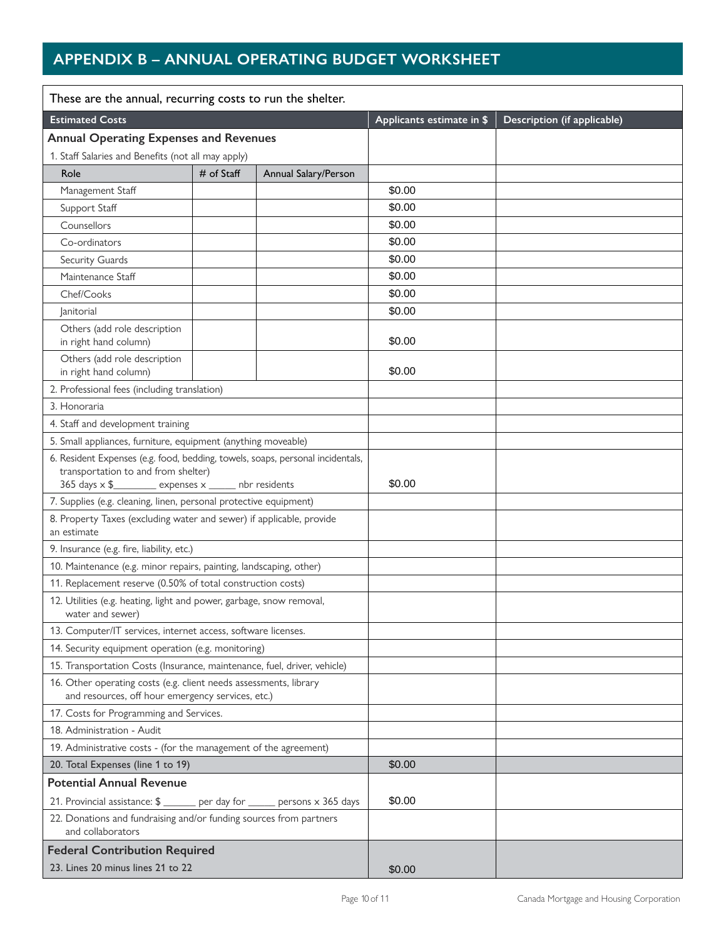# **APPENDIX B – ANNUAL OPERATING BUDGET WORKSHEET**

| These are the annual, recurring costs to run the shelter.                                                                                                                         |              |                      |                           |                             |  |
|-----------------------------------------------------------------------------------------------------------------------------------------------------------------------------------|--------------|----------------------|---------------------------|-----------------------------|--|
| <b>Estimated Costs</b>                                                                                                                                                            |              |                      | Applicants estimate in \$ | Description (if applicable) |  |
| <b>Annual Operating Expenses and Revenues</b>                                                                                                                                     |              |                      |                           |                             |  |
| 1. Staff Salaries and Benefits (not all may apply)                                                                                                                                |              |                      |                           |                             |  |
| Role                                                                                                                                                                              | $#$ of Staff | Annual Salary/Person |                           |                             |  |
| Management Staff                                                                                                                                                                  |              |                      | \$0.00                    |                             |  |
| Support Staff                                                                                                                                                                     |              |                      | \$0.00                    |                             |  |
| Counsellors                                                                                                                                                                       |              |                      | \$0.00                    |                             |  |
| Co-ordinators                                                                                                                                                                     |              |                      | \$0.00                    |                             |  |
| Security Guards                                                                                                                                                                   |              |                      | \$0.00                    |                             |  |
| Maintenance Staff                                                                                                                                                                 |              |                      | \$0.00                    |                             |  |
| Chef/Cooks                                                                                                                                                                        |              |                      | \$0.00                    |                             |  |
| <i>anitorial</i>                                                                                                                                                                  |              |                      | \$0.00                    |                             |  |
| Others (add role description<br>in right hand column)                                                                                                                             |              |                      | \$0.00                    |                             |  |
| Others (add role description<br>in right hand column)                                                                                                                             |              |                      | \$0.00                    |                             |  |
| 2. Professional fees (including translation)                                                                                                                                      |              |                      |                           |                             |  |
| 3. Honoraria                                                                                                                                                                      |              |                      |                           |                             |  |
| 4. Staff and development training                                                                                                                                                 |              |                      |                           |                             |  |
| 5. Small appliances, furniture, equipment (anything moveable)                                                                                                                     |              |                      |                           |                             |  |
| 6. Resident Expenses (e.g. food, bedding, towels, soaps, personal incidentals,<br>transportation to and from shelter)<br>365 days x \$___________ expenses x ______ nbr residents |              | \$0.00               |                           |                             |  |
| 7. Supplies (e.g. cleaning, linen, personal protective equipment)                                                                                                                 |              |                      |                           |                             |  |
| 8. Property Taxes (excluding water and sewer) if applicable, provide<br>an estimate                                                                                               |              |                      |                           |                             |  |
| 9. Insurance (e.g. fire, liability, etc.)                                                                                                                                         |              |                      |                           |                             |  |
| 10. Maintenance (e.g. minor repairs, painting, landscaping, other)                                                                                                                |              |                      |                           |                             |  |
| 11. Replacement reserve (0.50% of total construction costs)                                                                                                                       |              |                      |                           |                             |  |
| 12. Utilities (e.g. heating, light and power, garbage, snow removal,<br>water and sewer)                                                                                          |              |                      |                           |                             |  |
| 13. Computer/IT services, internet access, software licenses.                                                                                                                     |              |                      |                           |                             |  |
| 14. Security equipment operation (e.g. monitoring)                                                                                                                                |              |                      |                           |                             |  |
| 15. Transportation Costs (Insurance, maintenance, fuel, driver, vehicle)                                                                                                          |              |                      |                           |                             |  |
| 16. Other operating costs (e.g. client needs assessments, library<br>and resources, off hour emergency services, etc.)                                                            |              |                      |                           |                             |  |
| 17. Costs for Programming and Services.                                                                                                                                           |              |                      |                           |                             |  |
| 18. Administration - Audit                                                                                                                                                        |              |                      |                           |                             |  |
| 19. Administrative costs - (for the management of the agreement)                                                                                                                  |              |                      |                           |                             |  |
| 20. Total Expenses (line 1 to 19)                                                                                                                                                 |              |                      | \$0.00                    |                             |  |
| <b>Potential Annual Revenue</b>                                                                                                                                                   |              |                      |                           |                             |  |
| 21. Provincial assistance: \$ ______ per day for _____ persons x 365 days                                                                                                         |              |                      | \$0.00                    |                             |  |
| 22. Donations and fundraising and/or funding sources from partners<br>and collaborators                                                                                           |              |                      |                           |                             |  |
| <b>Federal Contribution Required</b>                                                                                                                                              |              |                      |                           |                             |  |
| 23. Lines 20 minus lines 21 to 22                                                                                                                                                 |              | \$0.00               |                           |                             |  |